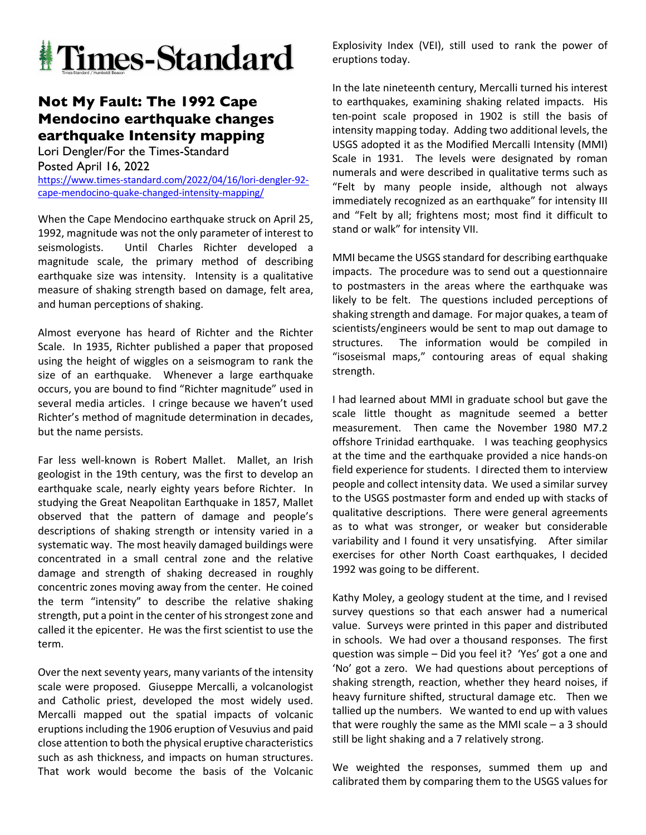

## **Not My Fault: The 1992 Cape Mendocino earthquake changes earthquake Intensity mapping**

Lori Dengler/For the Times-Standard Posted April 16, 2022 https://www.times-standard.com/2022/04/16/lori-dengler-92 cape-mendocino-quake-changed-intensity-mapping/

When the Cape Mendocino earthquake struck on April 25, 1992, magnitude was not the only parameter of interest to seismologists. Until Charles Richter developed a magnitude scale, the primary method of describing earthquake size was intensity. Intensity is a qualitative measure of shaking strength based on damage, felt area, and human perceptions of shaking.

Almost everyone has heard of Richter and the Richter Scale. In 1935, Richter published a paper that proposed using the height of wiggles on a seismogram to rank the size of an earthquake. Whenever a large earthquake occurs, you are bound to find "Richter magnitude" used in several media articles. I cringe because we haven't used Richter's method of magnitude determination in decades, but the name persists.

Far less well-known is Robert Mallet. Mallet, an Irish geologist in the 19th century, was the first to develop an earthquake scale, nearly eighty years before Richter. In studying the Great Neapolitan Earthquake in 1857, Mallet observed that the pattern of damage and people's descriptions of shaking strength or intensity varied in a systematic way. The most heavily damaged buildings were concentrated in a small central zone and the relative damage and strength of shaking decreased in roughly concentric zones moving away from the center. He coined the term "intensity" to describe the relative shaking strength, put a point in the center of his strongest zone and called it the epicenter. He was the first scientist to use the term.

Over the next seventy years, many variants of the intensity scale were proposed. Giuseppe Mercalli, a volcanologist and Catholic priest, developed the most widely used. Mercalli mapped out the spatial impacts of volcanic eruptions including the 1906 eruption of Vesuvius and paid close attention to both the physical eruptive characteristics such as ash thickness, and impacts on human structures. That work would become the basis of the Volcanic

Explosivity Index (VEI), still used to rank the power of eruptions today.

In the late nineteenth century, Mercalli turned his interest to earthquakes, examining shaking related impacts. His ten-point scale proposed in 1902 is still the basis of intensity mapping today. Adding two additional levels, the USGS adopted it as the Modified Mercalli Intensity (MMI) Scale in 1931. The levels were designated by roman numerals and were described in qualitative terms such as "Felt by many people inside, although not always immediately recognized as an earthquake" for intensity III and "Felt by all; frightens most; most find it difficult to stand or walk" for intensity VII.

MMI became the USGS standard for describing earthquake impacts. The procedure was to send out a questionnaire to postmasters in the areas where the earthquake was likely to be felt. The questions included perceptions of shaking strength and damage. For major quakes, a team of scientists/engineers would be sent to map out damage to structures. The information would be compiled in "isoseismal maps," contouring areas of equal shaking strength.

I had learned about MMI in graduate school but gave the scale little thought as magnitude seemed a better measurement. Then came the November 1980 M7.2 offshore Trinidad earthquake. I was teaching geophysics at the time and the earthquake provided a nice hands-on field experience for students. I directed them to interview people and collect intensity data. We used a similar survey to the USGS postmaster form and ended up with stacks of qualitative descriptions. There were general agreements as to what was stronger, or weaker but considerable variability and I found it very unsatisfying. After similar exercises for other North Coast earthquakes, I decided 1992 was going to be different.

Kathy Moley, a geology student at the time, and I revised survey questions so that each answer had a numerical value. Surveys were printed in this paper and distributed in schools. We had over a thousand responses. The first question was simple – Did you feel it? 'Yes' got a one and 'No' got a zero. We had questions about perceptions of shaking strength, reaction, whether they heard noises, if heavy furniture shifted, structural damage etc. Then we tallied up the numbers. We wanted to end up with values that were roughly the same as the MMI scale – a 3 should still be light shaking and a 7 relatively strong.

We weighted the responses, summed them up and calibrated them by comparing them to the USGS values for